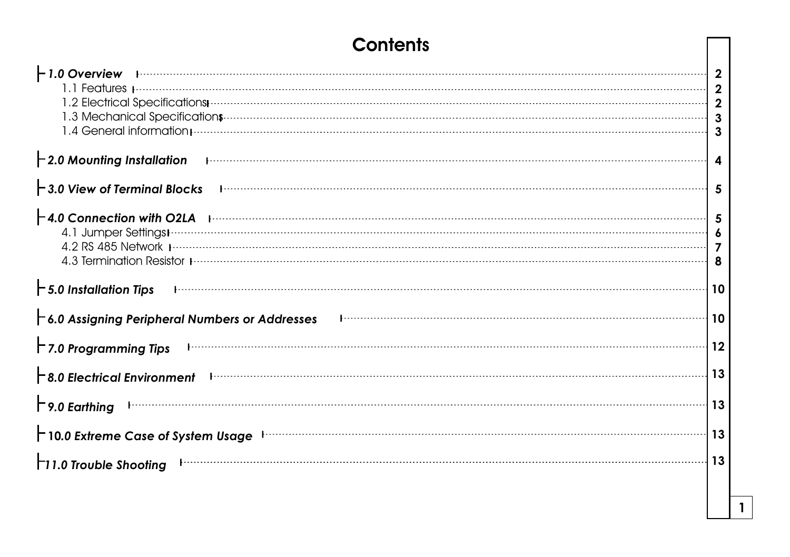# **Contents**

| ⊢ 1.0 Overview<br>1.4 General information <i>processes</i> and content to the content of the content of the content of the content of the                                                                                                                                                                                                                                                                                                                        | $\boldsymbol{2}$<br>$\mathbf 2$<br>$\mathbf{2}$<br>3<br>3 |
|------------------------------------------------------------------------------------------------------------------------------------------------------------------------------------------------------------------------------------------------------------------------------------------------------------------------------------------------------------------------------------------------------------------------------------------------------------------|-----------------------------------------------------------|
| $-2.0$ Mounting Installation                                                                                                                                                                                                                                                                                                                                                                                                                                     | 4                                                         |
| $\vdash$ 3.0 View of Terminal Blocks                                                                                                                                                                                                                                                                                                                                                                                                                             | 5                                                         |
| $\vdash$ 4.0 Connection with O2LA production of the contract of the contract of the contract of the contract of the contract of the contract of the contract of the contract of the contract of the contract of the contract of<br>4.2 RS 485 Network processors constructed and constructed and constructed and constructed and constructed and constructed and constructed and constructed and constructed and constructed and constructed and constructed and | -5<br>6<br>7<br>8                                         |
| $\mathsf{\vdash}5.0$ Installation Tips                                                                                                                                                                                                                                                                                                                                                                                                                           | -10                                                       |
| $\vdash$ 6.0 Assigning Peripheral Numbers or Addresses                                                                                                                                                                                                                                                                                                                                                                                                           | 10                                                        |
| $\Gamma$ 7.0 Programming Tips                                                                                                                                                                                                                                                                                                                                                                                                                                    | 12                                                        |
| $\mathsf{\vdash}$ 8.0 Electrical Environment                                                                                                                                                                                                                                                                                                                                                                                                                     | 13                                                        |
| $\Gamma$ 9.0 Earthing                                                                                                                                                                                                                                                                                                                                                                                                                                            | 13                                                        |
| $\uparrow$ 10.0 Extreme Case of System Usage $\downarrow$                                                                                                                                                                                                                                                                                                                                                                                                        | 13                                                        |
| <b>T11.0 Trouble Shooting</b>                                                                                                                                                                                                                                                                                                                                                                                                                                    | 13                                                        |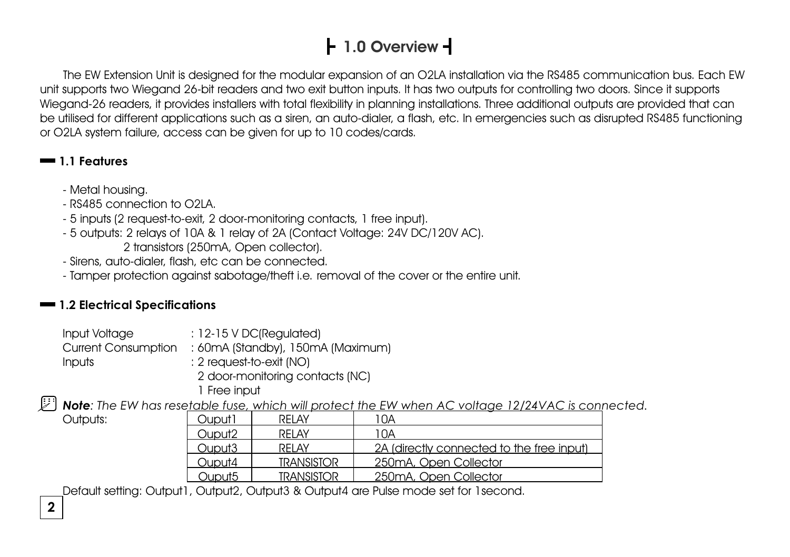# **1.0 Overview**

The EW Extension Unit is designed for the modular expansion of an O2LA installation via the RS485 communication bus. Each EW unit supports two Wiegand 26-bit readers and two exit button inputs. It has two outputs for controlling two doors. Since it supports Wiegand-26 readers, it provides installers with total flexibility in planning installations. Three additional outputs are provided that can be utilised for different applications such as a siren, an auto-dialer, a flash, etc. In emergencies such as disrupted RS485 functioning or O2LA system failure, access can be given for up to 10 codes/cards.

#### **1.1 Features**

- Metal housing.
- RS485 connection to O2LA.
- 5 inputs (2 request-to-exit, 2 door-monitoring contacts, 1 free input).
- 5 outputs: 2 relays of 10A & 1 relay of 2A (Contact Voltage: 24V DC/120V AC). 2 transistors (250mA, Open collector).
- Sirens, auto-dialer, flash, etc can be connected.
- Tamper protection against sabotage/theft i.e. removal of the cover or the entire unit.

### **1.2 Electrical Specifications**

| Input Voltage              | $: 12-15 \vee DC(Required)$       |
|----------------------------|-----------------------------------|
| <b>Current Consumption</b> | : 60mA (Standby), 150mA (Maximum) |
| <b>Inputs</b>              | $: 2$ request-to-exit (NO)        |
|                            | 2 door-monitoring contacts (NC)   |

 1 Free input *Note: The EW has resetable fuse, which will protect the EW when AC voltage 12/24VAC is connected.* 

Outputs:

| RFI AY                                                                             | ' OA                                      |
|------------------------------------------------------------------------------------|-------------------------------------------|
| RFI AY                                                                             | 10A                                       |
| RFI AY                                                                             | 2A (directly connected to the free input) |
| <b>TRANSISTOR</b>                                                                  | 250mA, Open Collector                     |
| <b>TRANSISTOR</b>                                                                  | 250mA, Open Collector                     |
| Ouput1<br>Ouput <sub>2</sub><br>Ouput <sub>3</sub><br>Ouput4<br>Ouput <sub>5</sub> |                                           |

Default setting: Output1, Output2, Output3 & Output4 are Pulse mode set for 1second.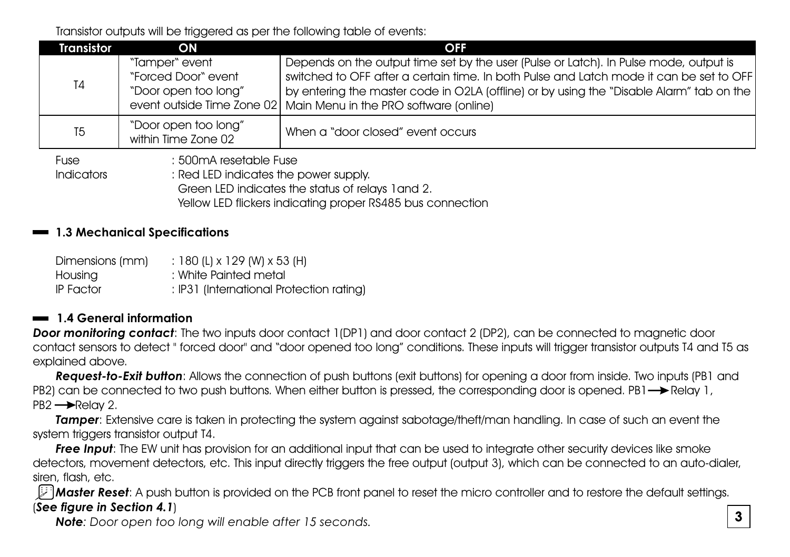Transistor outputs will be triggered as per the following table of events:

| <b>Transistor</b>         | <b>ON</b>                                                                                                          | <b>OFF</b>                                                                                                                                                                                                                                                                                                                                          |  |
|---------------------------|--------------------------------------------------------------------------------------------------------------------|-----------------------------------------------------------------------------------------------------------------------------------------------------------------------------------------------------------------------------------------------------------------------------------------------------------------------------------------------------|--|
| T4                        | "Tamper" event<br>"Forced Door" event<br>"Door open too long"                                                      | Depends on the output time set by the user (Pulse or Latch). In Pulse mode, output is<br>switched to OFF after a certain time. In both Pulse and Latch mode it can be set to OFF<br>by entering the master code in O2LA (offline) or by using the "Disable Alarm" tab on the<br>event outside Time Zone 02   Main Menu in the PRO software (online) |  |
| T5                        | "Door open too long"<br>within Time Zone 02                                                                        | When a "door closed" event occurs                                                                                                                                                                                                                                                                                                                   |  |
| Fuse<br><b>Indicators</b> | : 500mA resetable Fuse<br>Red LED indicates the power supply.<br>Green LED indicates the status of relays 1 and 2. |                                                                                                                                                                                                                                                                                                                                                     |  |

Yellow LED flickers indicating proper RS485 bus connection

#### **Mechanical Specifications 1.3**

| Dimensions (mm) | : 180 (L) x 129 (W) x 53 (H)             |
|-----------------|------------------------------------------|
| Housing         | : White Painted metal                    |
| IP Factor       | : IP31 (International Protection rating) |

#### **1.4 General information**

**Door monitoring contact**: The two inputs door contact 1(DP1) and door contact 2 (DP2), can be connected to magnetic door contact sensors to detect " forced door" and "door opened too long" conditions. These inputs will trigger transistor outputs T4 and T5 as explained above.

*Request-to-Exit button*: Allows the connection of push buttons (exit buttons) for opening a door from inside. Two inputs (PB1 and PB2) can be connected to two push buttons. When either button is pressed, the corresponding door is opened. PB1  $\rightarrow$  Relay 1,  $PB2 \rightarrow$ Relay 2.

**Tamper:** Extensive care is taken in protecting the system against sabotage/theft/man handling. In case of such an event the system triggers transistor output T4.

*Free Input*: The EW unit has provision for an additional input that can be used to integrate other security devices like smoke detectors, movement detectors, etc. This input directly triggers the free output (output 3), which can be connected to an auto-dialer, siren, flash, etc.

*Master Reset*: A push button is provided on the PCB front panel to reset the micro controller and to restore the default settings. (*See figure in Section 4.1*)

*Note: Door open too long will enable after 15 seconds.*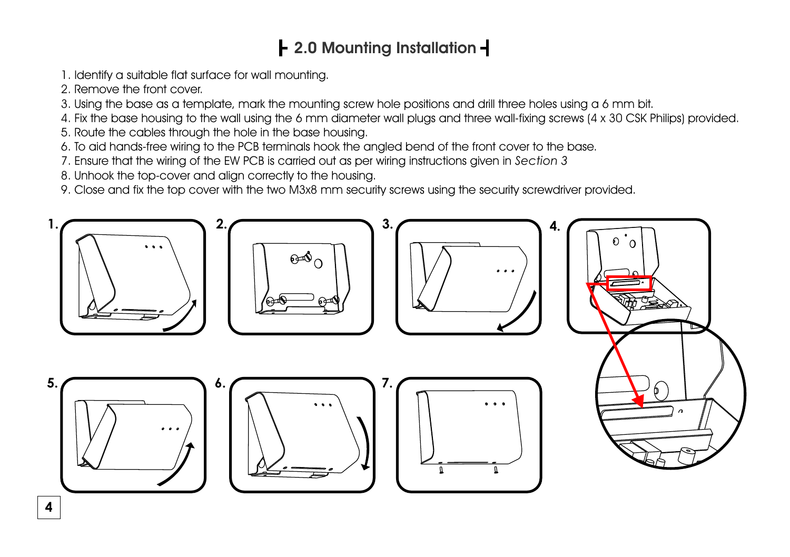# **2.0 Mounting Installation**

- 1. Identify a suitable flat surface for wall mounting.
- 2. Remove the front cover.
- 3. Using the base as a template, mark the mounting screw hole positions and drill three holes using a 6 mm bit.
- 4. Fix the base housing to the wall using the 6 mm diameter wall plugs and three wall-fixing screws (4 x 30 CSK Philips) provided.
- 5. Route the cables through the hole in the base housing.
- 6. To aid hands-free wiring to the PCB terminals hook the angled bend of the front cover to the base.
- 7. Ensure that the wiring of the EW PCB is carried out as per wiring instructions given in *Section 3*
- 8. Unhook the top-cover and align correctly to the housing.
- 9. Close and fix the top cover with the two M3x8 mm security screws using the security screwdriver provided.

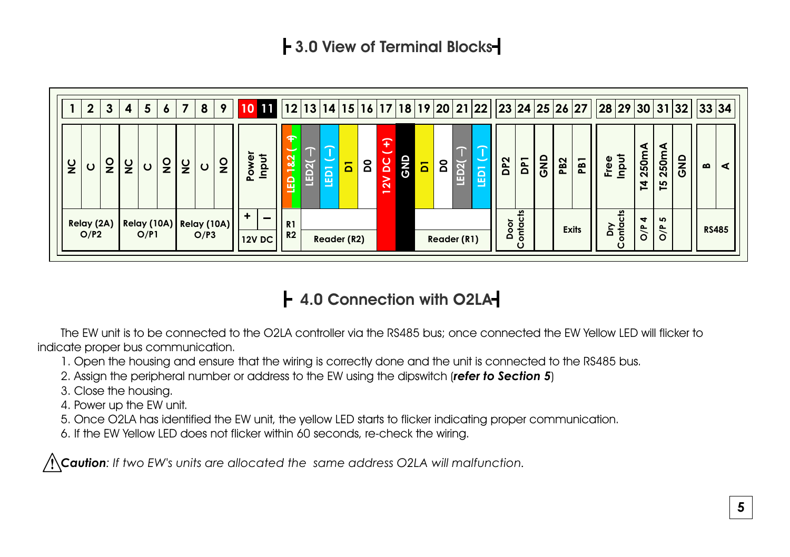

### **4.0 Connection with O2LA**

The EW unit is to be connected to the O2LA controller via the RS485 bus; once connected the EW Yellow LED will flicker to indicate proper bus communication.

- 1. Open the housing and ensure that the wiring is correctly done and the unit is connected to the RS485 bus.
- 2. Assign the peripheral number or address to the EW using the dipswitch (*refer to Section 5*)
- 3. Close the housing.
- 4. Power up the EW unit.
- 5. Once O2LA has identified the EW unit, the yellow LED starts to flicker indicating proper communication.
- 6. If the EW Yellow LED does not flicker within 60 seconds, re-check the wiring.

*Caution: If two EW's units are allocated the same address O2LA will malfunction.*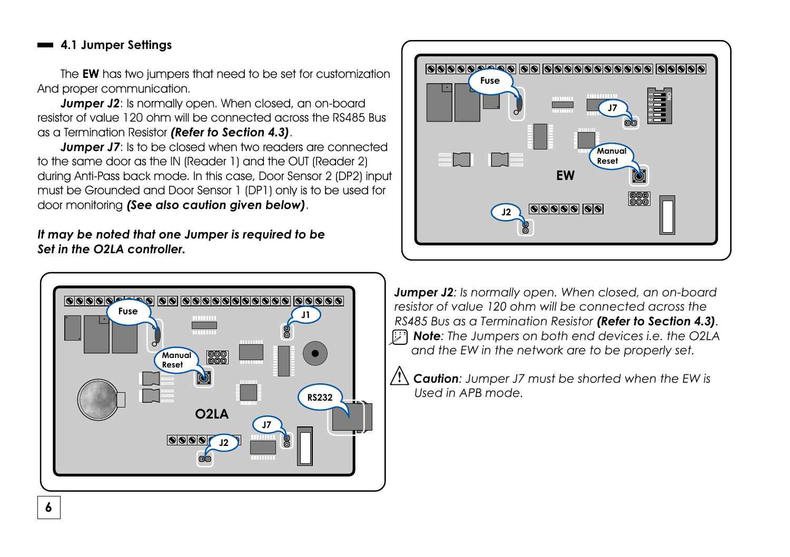#### **4.1 Jumper Settings**

The **EW** has two jumpers that need to be set for customization And proper communication.

*Jumper J2:* Is normally open. When closed, an on-board resistor of value 120 ohm will be connected across the RS485 Bus as a Termination Resistor *(Refer to Section 4.3)*.

door monitoring **(See also caution given below)**. *Jumper J7:* Is to be closed when two readers are connected to the same door as the IN (Reader 1) and the OUT (Reader 2) during Anti-Pass back mode. In this case, Door Sensor 2 (DP2) input must be Grounded and Door Sensor 1 (DP1) only is to be used for

*It may be noted that one Jumper is required to be Set in the O2LA controller.* 





**Jumper J2**: Is normally open. When closed, an on-board  *RS485 Bus as a Termination Resistor (Refer to Section 4.3). Note: The Jumpers on both end devices i.e. the O2LA* **and the EW in the network are to be properly set.** 

> *Caution: Jumper J7 must be shorted when the EW is Used in APB mode.*

**6**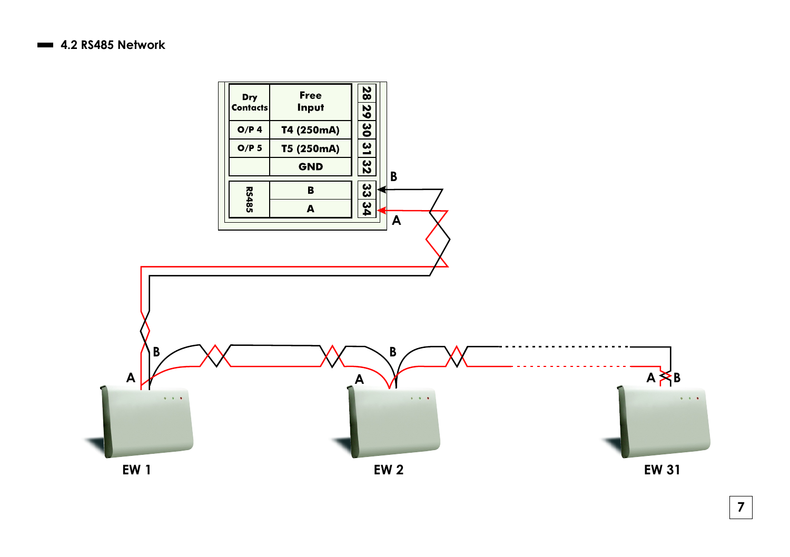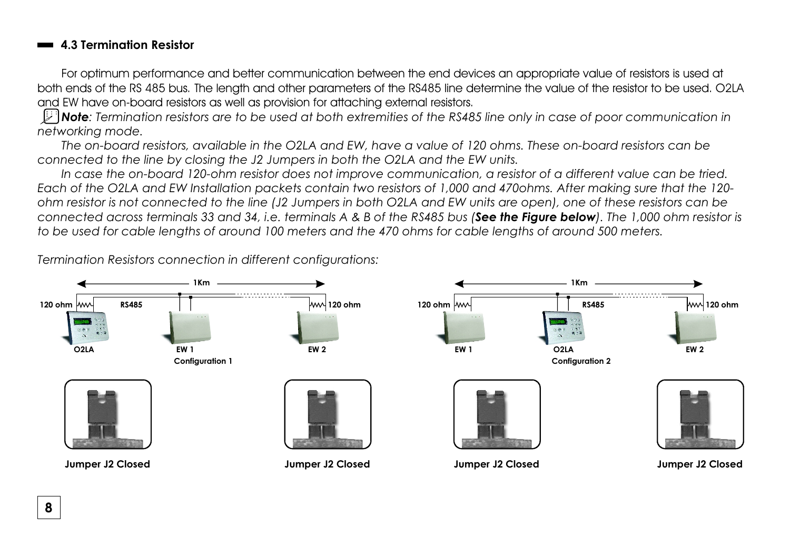#### **4.3 Termination Resistor**

For optimum performance and better communication between the end devices an appropriate value of resistors is used at both ends of the RS 485 bus. The length and other parameters of the RS485 line determine the value of the resistor to be used. O2LA and EW have on-board resistors as well as provision for attaching external resistors.

*Note: Termination resistors are to be used at both extremities of the RS485 line only in case of poor communication in networking mode.* 

*The on-board resistors, available in the O2LA and EW, have a value of 120 ohms. These on-board resistors can be connected to the line by closing the J2 Jumpers in both the O2LA and the EW units.*

*In case the on-board 120-ohm resistor does not improve communication, a resistor of a different value can be tried. Each of the O2LA and EW Installation packets contain two resistors of 1,000 and 470ohms. After making sure that the 120 ohm resistor is not connected to the line (J2 Jumpers in both O2LA and EW units are open), one of these resistors can be connected across terminals 33 and 34, i.e. terminals A & B of the RS485 bus (See the Figure below). The 1,000 ohm resistor is to be used for cable lengths of around 100 meters and the 470 ohms for cable lengths of around 500 meters.* 

*Termination Resistors connection in different configurations:*

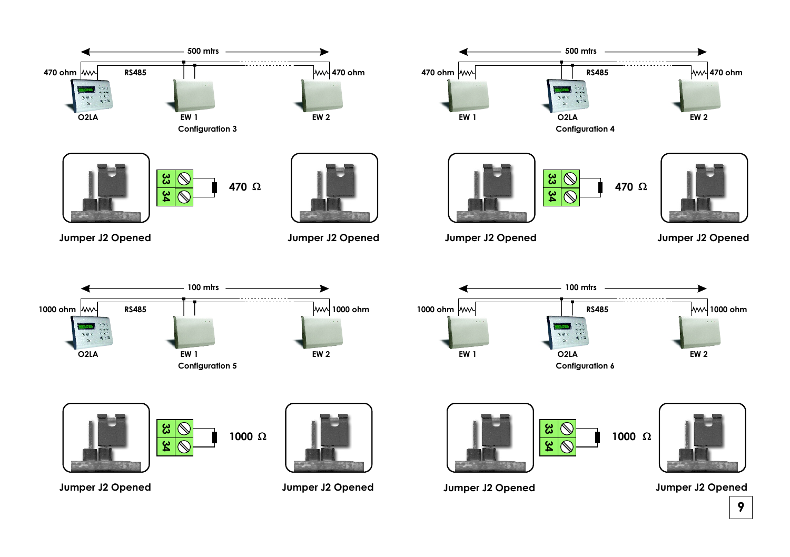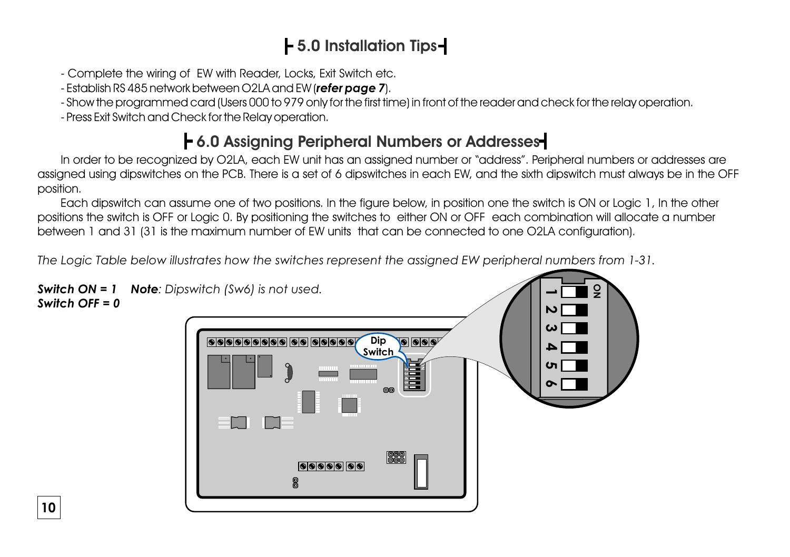# **5.0 Installation Tips**

- Complete the wiring of EW with Reader, Locks, Exit Switch etc.
- Establish RS 485 network between O2LA and EW (*refer page 7*).
- Show the programmed card (Users 000 to 979 only for the first time) in front of the reader and check for the relay operation.
- Press Exit Switch and Check for the Relay operation.

**10**

### **6.0 Assigning Peripheral Numbers or Addresses**

In order to be recognized by O2LA, each EW unit has an assigned number or "address". Peripheral numbers or addresses are assigned using dipswitches on the PCB. There is a set of 6 dipswitches in each EW, and the sixth dipswitch must always be in the OFF position.

Each dipswitch can assume one of two positions. In the figure below, in position one the switch is ON or Logic 1, In the other positions the switch is OFF or Logic 0. By positioning the switches to either ON or OFF each combination will allocate a number between 1 and 31 (31 is the maximum number of EW units that can be connected to one O2LA configuration).

*The Logic Table below illustrates how the switches represent the assigned EW peripheral numbers from 1-31.*

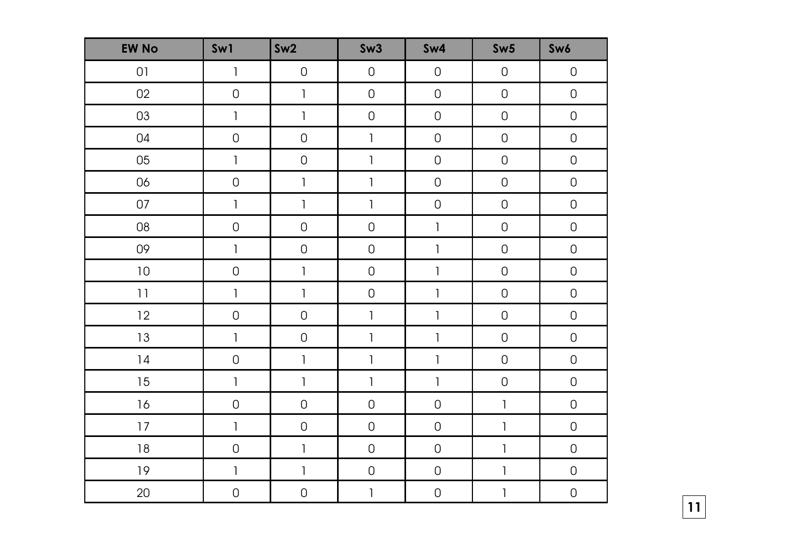| <b>EW No</b> | Sw1                                   | Sw2                                                                                                                                                                                                                                                                                                                                                                                                            | Sw3                                   | Sw4                                                                                                                                                                                                                                                                                                                                                                                                            | Sw5          | Sw6                 |
|--------------|---------------------------------------|----------------------------------------------------------------------------------------------------------------------------------------------------------------------------------------------------------------------------------------------------------------------------------------------------------------------------------------------------------------------------------------------------------------|---------------------------------------|----------------------------------------------------------------------------------------------------------------------------------------------------------------------------------------------------------------------------------------------------------------------------------------------------------------------------------------------------------------------------------------------------------------|--------------|---------------------|
| 01           | $\mathbb{I}$                          | $\mathsf{O}$                                                                                                                                                                                                                                                                                                                                                                                                   | $\mathsf 0$                           | $\hbox{O}$                                                                                                                                                                                                                                                                                                                                                                                                     | $\mathsf 0$  | $\mathsf 0$         |
| 02           | $\hbox{O}$                            | $\mathbf{I}$                                                                                                                                                                                                                                                                                                                                                                                                   | $\mathsf{O}\xspace$                   | $\hbox{O}$                                                                                                                                                                                                                                                                                                                                                                                                     | $\hbox{O}$   | $\hbox{O}$          |
| 03           | $\mathbb{I}$                          | $\begin{array}{c} \rule{0pt}{2ex} \rule{0pt}{2ex} \rule{0pt}{2ex} \rule{0pt}{2ex} \rule{0pt}{2ex} \rule{0pt}{2ex} \rule{0pt}{2ex} \rule{0pt}{2ex} \rule{0pt}{2ex} \rule{0pt}{2ex} \rule{0pt}{2ex} \rule{0pt}{2ex} \rule{0pt}{2ex} \rule{0pt}{2ex} \rule{0pt}{2ex} \rule{0pt}{2ex} \rule{0pt}{2ex} \rule{0pt}{2ex} \rule{0pt}{2ex} \rule{0pt}{2ex} \rule{0pt}{2ex} \rule{0pt}{2ex} \rule{0pt}{2ex} \rule{0pt}{$ | $\mathsf{O}\xspace$                   | $\hbox{O}$                                                                                                                                                                                                                                                                                                                                                                                                     | $\mathsf{O}$ | $\mathsf{O}\xspace$ |
| 04           | $\mathsf 0$                           | $\mathsf{O}$                                                                                                                                                                                                                                                                                                                                                                                                   | $\begin{array}{c} \hline \end{array}$ | $\hbox{O}$                                                                                                                                                                                                                                                                                                                                                                                                     | $\hbox{O}$   | $\mathsf{O}\xspace$ |
| 05           | $\mathbb{I}$                          | $\hbox{O}$                                                                                                                                                                                                                                                                                                                                                                                                     | $\mathbb{I}$                          | $\mathsf 0$                                                                                                                                                                                                                                                                                                                                                                                                    | $\mathsf 0$  | $\mathsf{O}\xspace$ |
| 06           | $\mathsf 0$                           | $\mathbb{I}$                                                                                                                                                                                                                                                                                                                                                                                                   | $\mathbb{I}$                          | $\mathsf 0$                                                                                                                                                                                                                                                                                                                                                                                                    | $\mathsf 0$  | $\mathsf 0$         |
| 07           | $\mathbb{I}$                          | $\begin{array}{c} \rule{0pt}{2ex} \rule{0pt}{2ex} \rule{0pt}{2ex} \rule{0pt}{2ex} \rule{0pt}{2ex} \rule{0pt}{2ex} \rule{0pt}{2ex} \rule{0pt}{2ex} \rule{0pt}{2ex} \rule{0pt}{2ex} \rule{0pt}{2ex} \rule{0pt}{2ex} \rule{0pt}{2ex} \rule{0pt}{2ex} \rule{0pt}{2ex} \rule{0pt}{2ex} \rule{0pt}{2ex} \rule{0pt}{2ex} \rule{0pt}{2ex} \rule{0pt}{2ex} \rule{0pt}{2ex} \rule{0pt}{2ex} \rule{0pt}{2ex} \rule{0pt}{$ | $\mathbb{I}$                          | $\mathsf{O}$                                                                                                                                                                                                                                                                                                                                                                                                   | $\mathsf 0$  | $\mathsf{O}\xspace$ |
| 08           | $\mathsf 0$                           | $\mathsf{O}$                                                                                                                                                                                                                                                                                                                                                                                                   | $\mathsf 0$                           | $\mathbb{I}$                                                                                                                                                                                                                                                                                                                                                                                                   | $\mathsf{O}$ | $\mathsf{O}\xspace$ |
| 09           | $\mathbb{I}$                          | $\hbox{O}$                                                                                                                                                                                                                                                                                                                                                                                                     | $\mathsf 0$                           | $\mathbb{I}$                                                                                                                                                                                                                                                                                                                                                                                                   | $\hbox{O}$   | $\mathsf{O}\xspace$ |
| $10\,$       | $\mathsf{O}$                          | $\mathbb{I}$                                                                                                                                                                                                                                                                                                                                                                                                   | $\mathsf{O}\xspace$                   | $\mathsf{l}$                                                                                                                                                                                                                                                                                                                                                                                                   | $\mathsf 0$  | $\mathsf{O}\xspace$ |
| 11           | $\mathbb{I}$                          | $\begin{array}{c} \hline \end{array}$                                                                                                                                                                                                                                                                                                                                                                          | $\mathsf{O}\xspace$                   | $\begin{array}{c} \rule{0pt}{2ex} \rule{0pt}{2ex} \rule{0pt}{2ex} \rule{0pt}{2ex} \rule{0pt}{2ex} \rule{0pt}{2ex} \rule{0pt}{2ex} \rule{0pt}{2ex} \rule{0pt}{2ex} \rule{0pt}{2ex} \rule{0pt}{2ex} \rule{0pt}{2ex} \rule{0pt}{2ex} \rule{0pt}{2ex} \rule{0pt}{2ex} \rule{0pt}{2ex} \rule{0pt}{2ex} \rule{0pt}{2ex} \rule{0pt}{2ex} \rule{0pt}{2ex} \rule{0pt}{2ex} \rule{0pt}{2ex} \rule{0pt}{2ex} \rule{0pt}{$ | $\mathsf 0$  | $\mathsf 0$         |
| 12           | $\mathsf 0$                           | $\mathsf{O}$                                                                                                                                                                                                                                                                                                                                                                                                   | $\mathbf{I}$                          | $\begin{array}{c} \rule{0pt}{2ex} \rule{0pt}{2ex} \rule{0pt}{2ex} \rule{0pt}{2ex} \rule{0pt}{2ex} \rule{0pt}{2ex} \rule{0pt}{2ex} \rule{0pt}{2ex} \rule{0pt}{2ex} \rule{0pt}{2ex} \rule{0pt}{2ex} \rule{0pt}{2ex} \rule{0pt}{2ex} \rule{0pt}{2ex} \rule{0pt}{2ex} \rule{0pt}{2ex} \rule{0pt}{2ex} \rule{0pt}{2ex} \rule{0pt}{2ex} \rule{0pt}{2ex} \rule{0pt}{2ex} \rule{0pt}{2ex} \rule{0pt}{2ex} \rule{0pt}{$ | $\mathsf{O}$ | $\mathsf 0$         |
| $13\,$       | $\mathbb{I}$                          | $\hbox{O}$                                                                                                                                                                                                                                                                                                                                                                                                     | $\begin{array}{c} \hline \end{array}$ | $\begin{array}{c} \rule{0pt}{2ex} \rule{0pt}{2ex} \rule{0pt}{2ex} \rule{0pt}{2ex} \rule{0pt}{2ex} \rule{0pt}{2ex} \rule{0pt}{2ex} \rule{0pt}{2ex} \rule{0pt}{2ex} \rule{0pt}{2ex} \rule{0pt}{2ex} \rule{0pt}{2ex} \rule{0pt}{2ex} \rule{0pt}{2ex} \rule{0pt}{2ex} \rule{0pt}{2ex} \rule{0pt}{2ex} \rule{0pt}{2ex} \rule{0pt}{2ex} \rule{0pt}{2ex} \rule{0pt}{2ex} \rule{0pt}{2ex} \rule{0pt}{2ex} \rule{0pt}{$ | $\mathsf 0$  | $\mathsf{O}\xspace$ |
| $14$         | $\hbox{O}$                            | $\begin{array}{c} \rule{0pt}{2ex} \rule{0pt}{2ex} \rule{0pt}{2ex} \rule{0pt}{2ex} \rule{0pt}{2ex} \rule{0pt}{2ex} \rule{0pt}{2ex} \rule{0pt}{2ex} \rule{0pt}{2ex} \rule{0pt}{2ex} \rule{0pt}{2ex} \rule{0pt}{2ex} \rule{0pt}{2ex} \rule{0pt}{2ex} \rule{0pt}{2ex} \rule{0pt}{2ex} \rule{0pt}{2ex} \rule{0pt}{2ex} \rule{0pt}{2ex} \rule{0pt}{2ex} \rule{0pt}{2ex} \rule{0pt}{2ex} \rule{0pt}{2ex} \rule{0pt}{$ | $\mathbb{I}$                          | $\mathbb{I}$                                                                                                                                                                                                                                                                                                                                                                                                   | $\hbox{O}$   | $\mathsf{O}\xspace$ |
| $15\,$       | $\begin{array}{c} \hline \end{array}$ | $\begin{array}{c} \hline \end{array}$                                                                                                                                                                                                                                                                                                                                                                          | $\mathbf{I}$                          | $\mathbb{I}$                                                                                                                                                                                                                                                                                                                                                                                                   | $\mathsf 0$  | $\mathsf 0$         |
| $16$         | $\mathsf 0$                           | $\mathsf{O}$                                                                                                                                                                                                                                                                                                                                                                                                   | $\mathsf{O}\xspace$                   | $\mathsf 0$                                                                                                                                                                                                                                                                                                                                                                                                    | $\mathbb{I}$ | $\mathsf 0$         |
| 17           | $\mathbf{I}$                          | $\mathbf 0$                                                                                                                                                                                                                                                                                                                                                                                                    | $\mathsf{O}\xspace$                   | $\hbox{O}$                                                                                                                                                                                                                                                                                                                                                                                                     | $\mathbb{I}$ | $\mathsf{O}\xspace$ |
| $18\,$       | $\mathsf 0$                           | $\mathbb{I}$                                                                                                                                                                                                                                                                                                                                                                                                   | $\mathsf{O}\xspace$                   | $\hbox{O}$                                                                                                                                                                                                                                                                                                                                                                                                     | $\mathbb{I}$ | $\mathsf{O}\xspace$ |
| $19$         | $\mathbb{I}$                          | $\begin{array}{c} \rule{0pt}{2ex} \rule{0pt}{2ex} \rule{0pt}{2ex} \rule{0pt}{2ex} \rule{0pt}{2ex} \rule{0pt}{2ex} \rule{0pt}{2ex} \rule{0pt}{2ex} \rule{0pt}{2ex} \rule{0pt}{2ex} \rule{0pt}{2ex} \rule{0pt}{2ex} \rule{0pt}{2ex} \rule{0pt}{2ex} \rule{0pt}{2ex} \rule{0pt}{2ex} \rule{0pt}{2ex} \rule{0pt}{2ex} \rule{0pt}{2ex} \rule{0pt}{2ex} \rule{0pt}{2ex} \rule{0pt}{2ex} \rule{0pt}{2ex} \rule{0pt}{$ | $\mathsf{O}\xspace$                   | $\mathsf 0$                                                                                                                                                                                                                                                                                                                                                                                                    | $\,$ $\,$    | $\mathsf 0$         |
| 20           | $\mathsf 0$                           | $\hbox{O}$                                                                                                                                                                                                                                                                                                                                                                                                     | $\mathbb{I}$                          | $\mathsf{O}$                                                                                                                                                                                                                                                                                                                                                                                                   | 1            | $\mathsf{O}\xspace$ |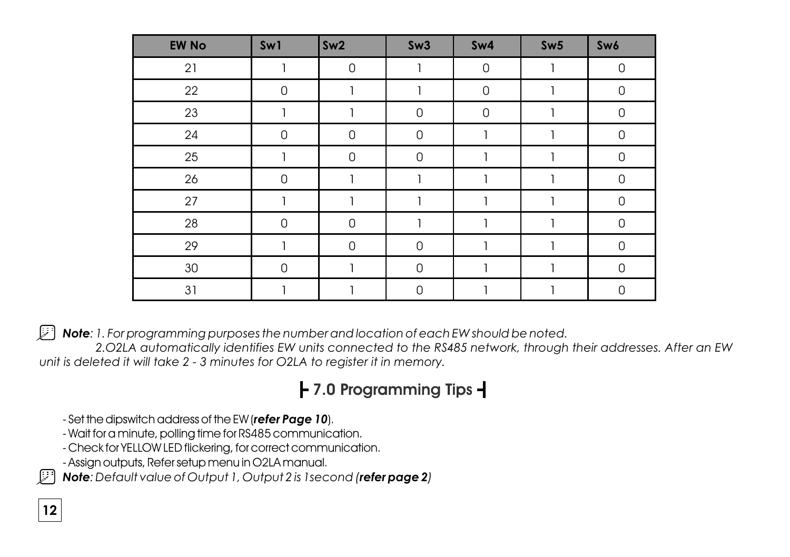| <b>EW No</b> | Sw1            | Sw2          | Sw3            | Sw4          | Sw5 | Sw6                 |
|--------------|----------------|--------------|----------------|--------------|-----|---------------------|
| 21           |                | $\mathsf{O}$ |                | $\mathsf{O}$ | 1   | $\mathsf 0$         |
| 22           | 0              |              |                | $\mathbf 0$  | 1   | $\mathbf 0$         |
| 23           | 1              |              | 0              | $\mathbf 0$  | 1   | 0                   |
| 24           | $\mathbf 0$    | $\mathsf 0$  | 0              | 1            | 1   | $\mathbf 0$         |
| 25           |                | $\Omega$     | $\Omega$       |              |     | $\mathbf 0$         |
| 26           | $\overline{0}$ |              |                |              |     | $\mathsf{O}$        |
| 27           |                |              |                |              |     | 0                   |
| 28           | $\mathsf 0$    | $\mathbf 0$  |                |              | 1   | $\mathbf 0$         |
| 29           |                | $\mathbf 0$  | $\overline{0}$ |              |     | $\mathbf 0$         |
| 30           | $\mathsf 0$    |              | $\overline{0}$ |              |     | $\mathsf{O}\xspace$ |
| 31           |                |              | 0              |              | 1   | $\mathsf{O}$        |

*Note: 1. For programming purposes the number and location of each EW should be noted.*

 *2.O2LA automatically identifies EW units connected to the RS485 network, through their addresses. After an EW unit is deleted it will take 2 - 3 minutes for O2LA to register it in memory.*

## **7.0 Programming Tips**

- Set the dipswitch address of the EW (*refer Page 10*).
- Wait for a minute, polling time for RS485 communication.
- Check for YELLOW LED flickering, for correct communication.
- Assign outputs, Refer setup menu in O2LA manual.

*Note: Default value of Output 1, Output 2 is 1second (refer page 2)*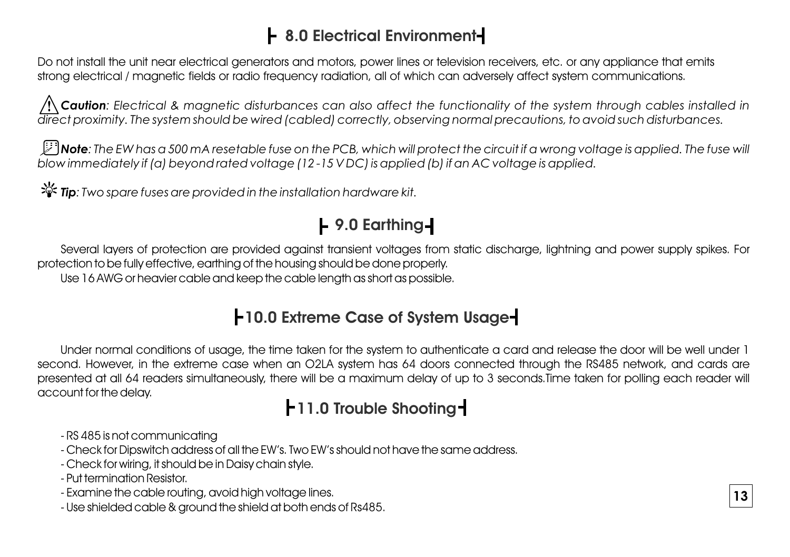### **8.0 Electrical Environment**

Do not install the unit near electrical generators and motors, power lines or television receivers, etc. or any appliance that emits strong electrical / magnetic fields or radio frequency radiation, all of which can adversely affect system communications.

*Caution: Electrical & magnetic disturbances can also affect the functionality of the system through cables installed in direct proximity. The system should be wired (cabled) correctly, observing normal precautions, to avoid such disturbances.*

*Note: The EW has a 500 mA resetable fuse on the PCB, which will protect the circuit if a wrong voltage is applied. The fuse will blow immediately if (a) beyond rated voltage (12 -15 V DC) is applied (b) if an AC voltage is applied.*

**举 Tip**: Two spare fuses are provided in the installation hardware kit.

# **9.0 Earthing**

Several layers of protection are provided against transient voltages from static discharge, lightning and power supply spikes. For protection to be fully effective, earthing of the housing should be done properly. Use 16 AWG or heavier cable and keep the cable length as short as possible.

### **10.0 Extreme Case of System Usage**

second. However, in the extreme case when an O2LA system has 64 doors connected through the RS485 network, and cards are presented at all 64 readers simultaneously, there will be a maximum delay of up to 3 seconds.Time taken for polling each reader will Under normal conditions of usage, the time taken for the system to authenticate a card and release the door will be well under 1 account for the delay.

## **11.0 Trouble Shooting**

- RS 485 is not communicating
- Check for Dipswitch address of all the EW's. Two EW's should not have the same address.
- Check for wiring, it should be in Daisy chain style.
- Put termination Resistor.
- Examine the cable routing, avoid high voltage lines.
- Use shielded cable & ground the shield at both ends of Rs485.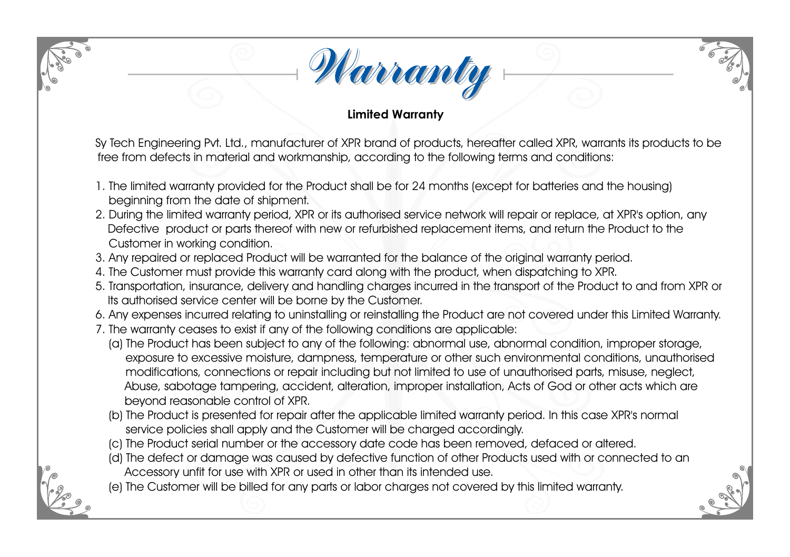

### **Limited Warranty**

Sy Tech Engineering Pvt. Ltd., manufacturer of XPR brand of products, hereafter called XPR, warrants its products to be free from defects in material and workmanship, according to the following terms and conditions:

- 1. The limited warranty provided for the Product shall be for 24 months (except for batteries and the housing) beginning from the date of shipment.
- 2. During the limited warranty period, XPR or its authorised service network will repair or replace, at XPR's option, any Defective product or parts thereof with new or refurbished replacement items, and return the Product to the Customer in working condition.
- 3. Any repaired or replaced Product will be warranted for the balance of the original warranty period.
- 4. The Customer must provide this warranty card along with the product, when dispatching to XPR.
- 5. Transportation, insurance, delivery and handling charges incurred in the transport of the Product to and from XPR or Its authorised service center will be borne by the Customer.
- 6. Any expenses incurred relating to uninstalling or reinstalling the Product are not covered under this Limited Warranty.
- 7. The warranty ceases to exist if any of the following conditions are applicable:
	- (a) The Product has been subject to any of the following: abnormal use, abnormal condition, improper storage, exposure to excessive moisture, dampness, temperature or other such environmental conditions, unauthorised modifications, connections or repair including but not limited to use of unauthorised parts, misuse, neglect, Abuse, sabotage tampering, accident, alteration, improper installation, Acts of God or other acts which are beyond reasonable control of XPR.
	- (b) The Product is presented for repair after the applicable limited warranty period. In this case XPR's normal service policies shall apply and the Customer will be charged accordingly.
	- (c) The Product serial number or the accessory date code has been removed, defaced or altered.
	- (d) The defect or damage was caused by defective function of other Products used with or connected to an Accessory unfit for use with XPR or used in other than its intended use.
	- (e) The Customer will be billed for any parts or labor charges not covered by this limited warranty.